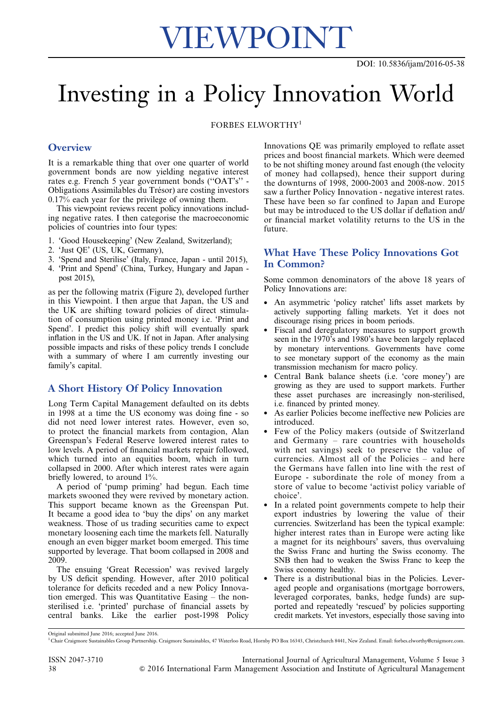# VIEWPOINT

## Investing in a Policy Innovation World

FORBES ELWORTHY<sup>1</sup>

#### **Overview**

It is a remarkable thing that over one quarter of world government bonds are now yielding negative interest rates e.g. French 5 year government bonds (''OAT's'' - Obligations Assimilables du Trésor) are costing investors 0.17% each year for the privilege of owning them.

This viewpoint reviews recent policy innovations including negative rates. I then categorise the macroeconomic policies of countries into four types:

- 1. 'Good Housekeeping' (New Zealand, Switzerland);
- 2. 'Just QE' (US, UK, Germany),
- 3. 'Spend and Sterilise' (Italy, France, Japan until 2015),
- 4. 'Print and Spend' (China, Turkey, Hungary and Japan post 2015),

as per the following matrix ([Figure 2](#page-1-0)), developed further in this Viewpoint. I then argue that Japan, the US and the UK are shifting toward policies of direct stimulation of consumption using printed money i.e. 'Print and Spend'. I predict this policy shift will eventually spark inflation in the US and UK. If not in Japan. After analysing possible impacts and risks of these policy trends I conclude with a summary of where I am currently investing our family's capital.

#### A Short History Of Policy Innovation

Long Term Capital Management defaulted on its debts in 1998 at a time the US economy was doing fine - so did not need lower interest rates. However, even so, to protect the financial markets from contagion, Alan Greenspan's Federal Reserve lowered interest rates to low levels. A period of financial markets repair followed, which turned into an equities boom, which in turn collapsed in 2000. After which interest rates were again briefly lowered, to around 1%.

A period of 'pump priming' had begun. Each time markets swooned they were revived by monetary action. This support became known as the Greenspan Put. It became a good idea to 'buy the dips' on any market weakness. Those of us trading securities came to expect monetary loosening each time the markets fell. Naturally enough an even bigger market boom emerged. This time supported by leverage. That boom collapsed in 2008 and 2009.

The ensuing 'Great Recession' was revived largely by US deficit spending. However, after 2010 political tolerance for deficits receded and a new Policy Innovation emerged. This was Quantitative Easing – the nonsterilised i.e. 'printed' purchase of financial assets by central banks. Like the earlier post-1998 Policy Innovations QE was primarily employed to reflate asset prices and boost financial markets. Which were deemed to be not shifting money around fast enough (the velocity of money had collapsed), hence their support during the downturns of 1998, 2000-2003 and 2008-now. 2015 saw a further Policy Innovation - negative interest rates. These have been so far confined to Japan and Europe but may be introduced to the US dollar if deflation and/ or financial market volatility returns to the US in the future.

#### What Have These Policy Innovations Got In Common?

Some common denominators of the above 18 years of Policy Innovations are:

- An asymmetric 'policy ratchet' lifts asset markets by actively supporting falling markets. Yet it does not discourage rising prices in boom periods.
- Fiscal and deregulatory measures to support growth seen in the 1970's and 1980's have been largely replaced by monetary interventions. Governments have come to see monetary support of the economy as the main transmission mechanism for macro policy.
- Central Bank balance sheets (i.e. 'core money') are growing as they are used to support markets. Further these asset purchases are increasingly non-sterilised, i.e. financed by printed money.
- As earlier Policies become ineffective new Policies are introduced.
- Few of the Policy makers (outside of Switzerland and Germany – rare countries with households with net savings) seek to preserve the value of currencies. Almost all of the Policies – and here the Germans have fallen into line with the rest of Europe - subordinate the role of money from a store of value to become 'activist policy variable of choice'.
- In a related point governments compete to help their export industries by lowering the value of their currencies. Switzerland has been the typical example: higher interest rates than in Europe were acting like a magnet for its neighbours' savers, thus overvaluing the Swiss Franc and hurting the Swiss economy. The SNB then had to weaken the Swiss Franc to keep the Swiss economy healthy.
- There is a distributional bias in the Policies. Leveraged people and organisations (mortgage borrowers, leveraged corporates, banks, hedge funds) are supported and repeatedly 'rescued' by policies supporting credit markets. Yet investors, especially those saving into

Original submitted June 2016; accepted June 2016.

<sup>1</sup> Chair Craigmore Sustainables Group Partnership. Craigmore Sustainables, 47 Waterloo Road, Hornby PO Box 16343, Christchurch 8441, New Zealand. Email: forbes.elworthy@craigmore.com.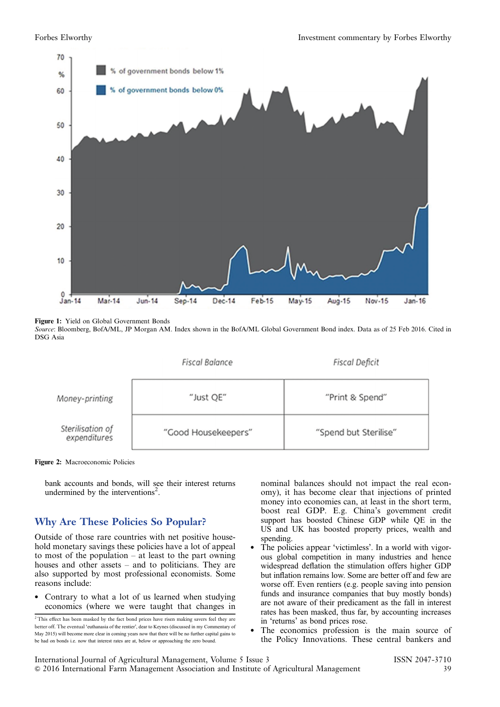<span id="page-1-0"></span>

**Figure 1:** Yield on Global Government Bonds<br>*Source*: Bloomberg, BofA/ML, JP Morgan AM. Index shown in the BofA/ML Global Government Bond index. Data as of 25 Feb 2016. Cited in DSG Asia



Figure 2: Macroeconomic Policies

bank accounts and bonds, will see their interest returns undermined by the interventions<sup>2</sup>.

### Why Are These Policies So Popular?

Outside of those rare countries with net positive household monetary savings these policies have a lot of appeal to most of the population  $-$  at least to the part owning houses and other assets – and to politicians. They are also supported by most professional economists. Some reasons include:

• Contrary to what a lot of us learned when studying economics (where we were taught that changes in nominal balances should not impact the real economy), it has become clear that injections of printed money into economies can, at least in the short term, boost real GDP. E.g. China's government credit support has boosted Chinese GDP while QE in the US and UK has boosted property prices, wealth and spending.

- The policies appear 'victimless'. In a world with vigorous global competition in many industries and hence widespread deflation the stimulation offers higher GDP but inflation remains low. Some are better off and few are worse off. Even rentiers (e.g. people saving into pension funds and insurance companies that buy mostly bonds) are not aware of their predicament as the fall in interest rates has been masked, thus far, by accounting increases in 'returns' as bond prices rose.
- The economics profession is the main source of the Policy Innovations. These central bankers and

<sup>&</sup>lt;sup>2</sup> This effect has been masked by the fact bond prices have risen making savers feel they are better off. The eventual 'euthanasia of the rentier', dear to Keynes (discussed in my Commentary of May 2015) will become more clear in coming years now that there will be no further capital gains to be had on bonds i.e. now that interest rates are at, below or approaching the zero bound.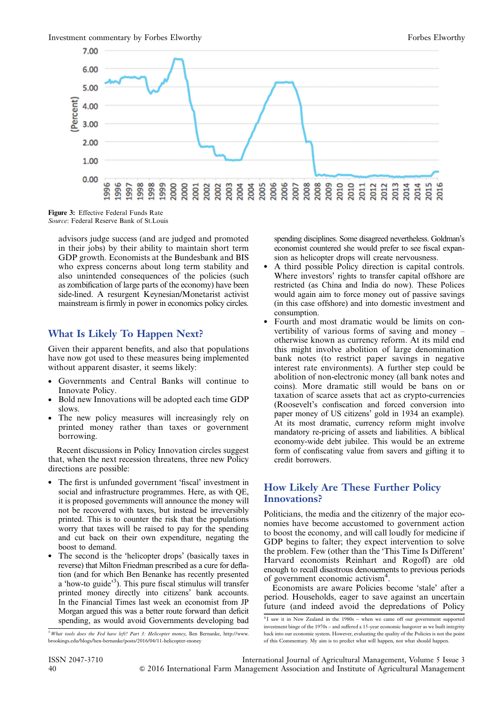

Figure 3: Effective Federal Funds Rate Source: Federal Reserve Bank of St.Louis

advisors judge success (and are judged and promoted in their jobs) by their ability to maintain short term GDP growth. Economists at the Bundesbank and BIS who express concerns about long term stability and also unintended consequences of the policies (such as zombification of large parts of the economy) have been side-lined. A resurgent Keynesian/Monetarist activist mainstream is firmly in power in economics policy circles.

#### What Is Likely To Happen Next?

Given their apparent benefits, and also that populations have now got used to these measures being implemented without apparent disaster, it seems likely:

- Governments and Central Banks will continue to Innovate Policy.
- Bold new Innovations will be adopted each time GDP slows.
- The new policy measures will increasingly rely on printed money rather than taxes or government borrowing.

Recent discussions in Policy Innovation circles suggest that, when the next recession threatens, three new Policy directions are possible:

- The first is unfunded government 'fiscal' investment in social and infrastructure programmes. Here, as with QE, it is proposed governments will announce the money will not be recovered with taxes, but instead be irreversibly printed. This is to counter the risk that the populations worry that taxes will be raised to pay for the spending and cut back on their own expenditure, negating the boost to demand.
- The second is the 'helicopter drops' (basically taxes in reverse) that Milton Friedman prescribed as a cure for deflation (and for which Ben Benanke has recently presented a 'how-to guide'<sup>3</sup>). This pure fiscal stimulus will transfer printed money directly into citizens' bank accounts. In the Financial Times last week an economist from JP Morgan argued this was a better route forward than deficit spending, as would avoid Governments developing bad

spending disciplines. Some disagreed nevertheless. Goldman's economist countered she would prefer to see fiscal expansion as helicopter drops will create nervousness.

- A third possible Policy direction is capital controls. Where investors' rights to transfer capital offshore are restricted (as China and India do now). These Polices would again aim to force money out of passive savings (in this case offshore) and into domestic investment and consumption.
- Fourth and most dramatic would be limits on convertibility of various forms of saving and money – otherwise known as currency reform. At its mild end this might involve abolition of large denomination bank notes (to restrict paper savings in negative interest rate environments). A further step could be abolition of non-electronic money (all bank notes and coins). More dramatic still would be bans on or taxation of scarce assets that act as crypto-currencies (Roosevelt's confiscation and forced conversion into paper money of US citizens' gold in 1934 an example). At its most dramatic, currency reform might involve mandatory re-pricing of assets and liabilities. A biblical economy-wide debt jubilee. This would be an extreme form of confiscating value from savers and gifting it to credit borrowers.

### How Likely Are These Further Policy Innovations?

Politicians, the media and the citizenry of the major economies have become accustomed to government action to boost the economy, and will call loudly for medicine if GDP begins to falter; they expect intervention to solve the problem. Few (other than the 'This Time Is Different' Harvard economists Reinhart and Rogoff) are old enough to recall disastrous denouements to previous periods of government economic activism<sup>4</sup>.

Economists are aware Policies become 'stale' after a period. Households, eager to save against an uncertain future (and indeed avoid the depredations of Policy

<sup>&</sup>lt;sup>3</sup> What tools does the Fed have left? Part 3: Helicopter money, Ben Bernanke, http://www. brookings.edu/blogs/ben-bernanke/posts/2016/04/11-helicopter-money

<sup>&</sup>lt;sup>4</sup>I saw it in New Zealand in the 1980s - when we came off our government supported investment binge of the 1970s – and suffered a 15-year economic hangover as we built integrity back into our economic system. However, evaluating the quality of the Policies is not the point of this Commentary. My aim is to predict what will happen, not what should happen.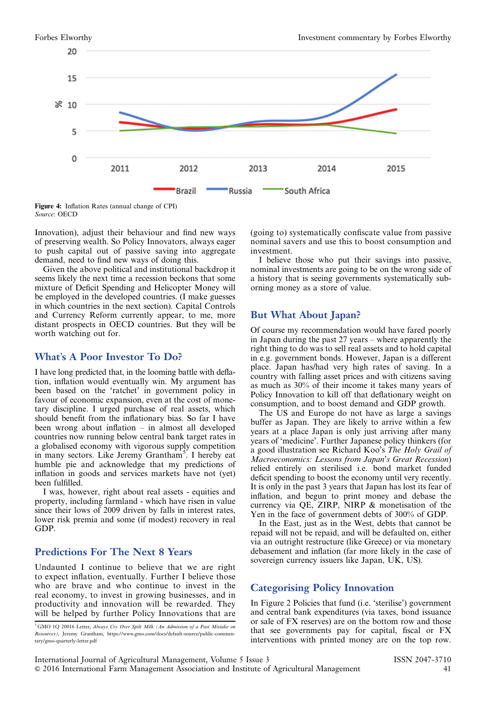

Figure 4: Inflation Rates (annual change of CPI) Source: OECD

Innovation), adjust their behaviour and find new ways of preserving wealth. So Policy Innovators, always eager to push capital out of passive saving into aggregate demand, need to find new ways of doing this.

Given the above political and institutional backdrop it seems likely the next time a recession beckons that some mixture of Deficit Spending and Helicopter Money will be employed in the developed countries. (I make guesses in which countries in the next section). Capital Controls and Currency Reform currently appear, to me, more distant prospects in OECD countries. But they will be worth watching out for.

#### What's A Poor Investor To Do?

I have long predicted that, in the looming battle with deflation, inflation would eventually win. My argument has been based on the 'ratchet' in government policy in favour of economic expansion, even at the cost of monetary discipline. I urged purchase of real assets, which should benefit from the inflationary bias. So far I have been wrong about inflation – in almost all developed countries now running below central bank target rates in a globalised economy with vigorous supply competition in many sectors. Like Jeremy Grantham<sup>5</sup>. I hereby eat humble pie and acknowledge that my predictions of inflation in goods and services markets have not (yet) been fulfilled.

I was, however, right about real assets - equities and property, including farmland - which have risen in value since their lows of 2009 driven by falls in interest rates, lower risk premia and some (if modest) recovery in real GDP.

#### Predictions For The Next 8 Years

Undaunted I continue to believe that we are right to expect inflation, eventually. Further I believe those who are brave and who continue to invest in the real economy, to invest in growing businesses, and in productivity and innovation will be rewarded. They will be helped by further Policy Innovations that are

<sup>5</sup> GMO 1Q 20016 Letter, Always Cry Over Spilt Milk (An Admission of a Past Mistake on Resources), Jeremy Grantham, https://www.gmo.com/docs/default-source/public-commentary/gmo-quarterly-letter.pdf

(going to) systematically confiscate value from passive nominal savers and use this to boost consumption and investment.

I believe those who put their savings into passive, nominal investments are going to be on the wrong side of a history that is seeing governments systematically suborning money as a store of value.

### But What About Japan?

Of course my recommendation would have fared poorly in Japan during the past 27 years – where apparently the right thing to do was to sell real assets and to hold capital in e.g. government bonds. However, Japan is a different place. Japan has/had very high rates of saving. In a country with falling asset prices and with citizens saving as much as 30% of their income it takes many years of Policy Innovation to kill off that deflationary weight on consumption, and to boost demand and GDP growth.

The US and Europe do not have as large a savings buffer as Japan. They are likely to arrive within a few years at a place Japan is only just arriving after many years of 'medicine'. Further Japanese policy thinkers (for a good illustration see Richard Koo's The Holy Grail of Macroeconomics: Lessons from Japan's Great Recession) relied entirely on sterilised i.e. bond market funded deficit spending to boost the economy until very recently. It is only in the past 3 years that Japan has lost its fear of inflation, and begun to print money and debase the currency via QE, ZIRP, NIRP & monetisation of the Yen in the face of government debts of 300% of GDP.

In the East, just as in the West, debts that cannot be repaid will not be repaid, and will be defaulted on, either via an outright restructure (like Greece) or via monetary debasement and inflation (far more likely in the case of sovereign currency issuers like Japan, UK, US).

### Categorising Policy Innovation

In [Figure 2](#page-1-0) Policies that fund (i.e. 'sterilise') government and central bank expenditures (via taxes, bond issuance or sale of FX reserves) are on the bottom row and those that see governments pay for capital, fiscal or FX interventions with printed money are on the top row.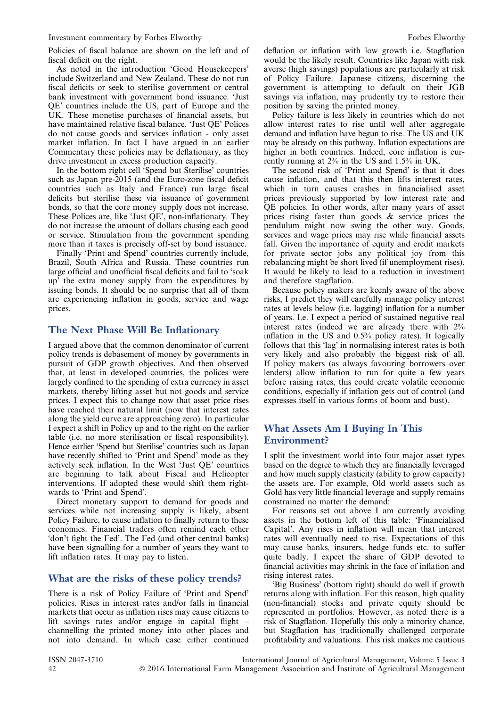Policies of fiscal balance are shown on the left and of fiscal deficit on the right.

As noted in the introduction 'Good Housekeepers' include Switzerland and New Zealand. These do not run fiscal deficits or seek to sterilise government or central bank investment with government bond issuance. 'Just QE' countries include the US, part of Europe and the UK. These monetise purchases of financial assets, but have maintained relative fiscal balance. 'Just QE' Polices do not cause goods and services inflation - only asset market inflation. In fact I have argued in an earlier Commentary these policies may be deflationary, as they drive investment in excess production capacity.

In the bottom right cell 'Spend but Sterilise' countries such as Japan pre-2015 (and the Euro-zone fiscal deficit countries such as Italy and France) run large fiscal deficits but sterilise these via issuance of government bonds, so that the core money supply does not increase. These Polices are, like 'Just QE', non-inflationary. They do not increase the amount of dollars chasing each good or service. Stimulation from the government spending more than it taxes is precisely off-set by bond issuance.

Finally 'Print and Spend' countries currently include, Brazil, South Africa and Russia. These countries run large official and unofficial fiscal deficits and fail to 'soak up' the extra money supply from the expenditures by issuing bonds. It should be no surprise that all of them are experiencing inflation in goods, service and wage prices.

#### The Next Phase Will Be Inflationary

I argued above that the common denominator of current policy trends is debasement of money by governments in pursuit of GDP growth objectives. And then observed that, at least in developed countries, the polices were largely confined to the spending of extra currency in asset markets, thereby lifting asset but not goods and service prices. I expect this to change now that asset price rises have reached their natural limit (now that interest rates along the yield curve are approaching zero). In particular I expect a shift in Policy up and to the right on the earlier table (i.e. no more sterilisation or fiscal responsibility). Hence earlier 'Spend but Sterilise' countries such as Japan have recently shifted to 'Print and Spend' mode as they actively seek inflation. In the West 'Just QE' countries are beginning to talk about Fiscal and Helicopter interventions. If adopted these would shift them rightwards to 'Print and Spend'.

Direct monetary support to demand for goods and services while not increasing supply is likely, absent Policy Failure, to cause inflation to finally return to these economies. Financial traders often remind each other 'don't fight the Fed'. The Fed (and other central banks) have been signalling for a number of years they want to lift inflation rates. It may pay to listen.

#### What are the risks of these policy trends?

There is a risk of Policy Failure of 'Print and Spend' policies. Rises in interest rates and/or falls in financial markets that occur as inflation rises may cause citizens to lift savings rates and/or engage in capital flight – channelling the printed money into other places and not into demand. In which case either continued

deflation or inflation with low growth i.e. Stagflation would be the likely result. Countries like Japan with risk averse (high savings) populations are particularly at risk of Policy Failure. Japanese citizens, discerning the government is attempting to default on their JGB savings via inflation, may prudently try to restore their position by saving the printed money.

Policy failure is less likely in countries which do not allow interest rates to rise until well after aggregate demand and inflation have begun to rise. The US and UK may be already on this pathway. Inflation expectations are higher in both countries. Indeed, core inflation is currently running at 2% in the US and 1.5% in UK.

The second risk of 'Print and Spend' is that it does cause inflation, and that this then lifts interest rates, which in turn causes crashes in financialised asset prices previously supported by low interest rate and QE policies. In other words, after many years of asset prices rising faster than goods & service prices the pendulum might now swing the other way. Goods, services and wage prices may rise while financial assets fall. Given the importance of equity and credit markets for private sector jobs any political joy from this rebalancing might be short lived (if unemployment rises). It would be likely to lead to a reduction in investment and therefore stagflation.

Because policy makers are keenly aware of the above risks, I predict they will carefully manage policy interest rates at levels below (i.e. lagging) inflation for a number of years. I.e. I expect a period of sustained negative real interest rates (indeed we are already there with 2% inflation in the US and 0.5% policy rates). It logically follows that this 'lag' in normalising interest rates is both very likely and also probably the biggest risk of all. If policy makers (as always favouring borrowers over lenders) allow inflation to run for quite a few years before raising rates, this could create volatile economic conditions, especially if inflation gets out of control (and expresses itself in various forms of boom and bust).

#### What Assets Am I Buying In This Environment?

I split the investment world into four major asset types based on the degree to which they are financially leveraged and how much supply elasticity (ability to grow capacity) the assets are. For example, Old world assets such as Gold has very little financial leverage and supply remains constrained no matter the demand:

For reasons set out above I am currently avoiding assets in the bottom left of this table: 'Financialised Capital'. Any rises in inflation will mean that interest rates will eventually need to rise. Expectations of this may cause banks, insurers, hedge funds etc. to suffer quite badly. I expect the share of GDP devoted to financial activities may shrink in the face of inflation and rising interest rates.

'Big Business' (bottom right) should do well if growth returns along with inflation. For this reason, high quality (non-financial) stocks and private equity should be represented in portfolios. However, as noted there is a risk of Stagflation. Hopefully this only a minority chance, but Stagflation has traditionally challenged corporate profitability and valuations. This risk makes me cautious